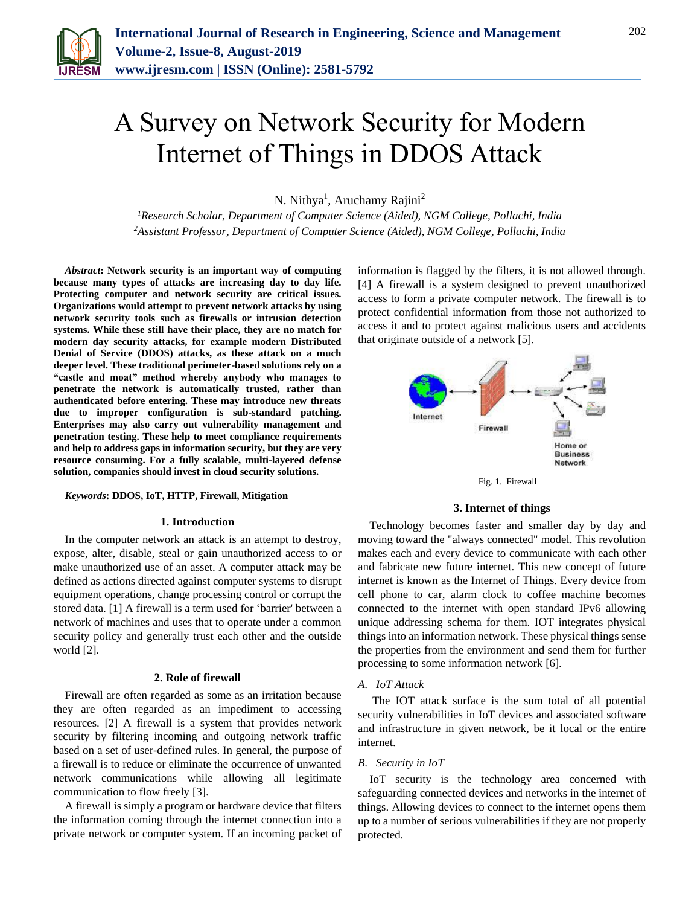

# A Survey on Network Security for Modern Internet of Things in DDOS Attack

N. Nithya<sup>1</sup>, Aruchamy Rajini<sup>2</sup>

*<sup>1</sup>Research Scholar, Department of Computer Science (Aided), NGM College, Pollachi, India <sup>2</sup>Assistant Professor, Department of Computer Science (Aided), NGM College, Pollachi, India*

*Abstract***: Network security is an important way of computing because many types of attacks are increasing day to day life. Protecting computer and network security are critical issues. Organizations would attempt to prevent network attacks by using network security tools such as firewalls or intrusion detection systems. While these still have their place, they are no match for modern day security attacks, for example modern Distributed Denial of Service (DDOS) attacks, as these attack on a much deeper level. These traditional perimeter-based solutions rely on a "castle and moat" method whereby anybody who manages to penetrate the network is automatically trusted, rather than authenticated before entering. These may introduce new threats due to improper configuration is sub-standard patching. Enterprises may also carry out vulnerability management and penetration testing. These help to meet compliance requirements and help to address gaps in information security, but they are very resource consuming. For a fully scalable, multi-layered defense solution, companies should invest in cloud security solutions.**

## *Keywords***: DDOS, IoT, HTTP, Firewall, Mitigation**

## **1. Introduction**

In the computer network an attack is an attempt to destroy, expose, alter, disable, steal or gain unauthorized access to or make unauthorized use of an asset. A computer attack may be defined as actions directed against computer systems to disrupt equipment operations, change processing control or corrupt the stored data. [1] A firewall is a term used for 'barrier' between a network of machines and uses that to operate under a common security policy and generally trust each other and the outside world [2].

#### **2. Role of firewall**

Firewall are often regarded as some as an irritation because they are often regarded as an impediment to accessing resources. [2] A firewall is a system that provides network security by filtering incoming and outgoing network traffic based on a set of user-defined rules. In general, the purpose of a firewall is to reduce or eliminate the occurrence of unwanted network communications while allowing all legitimate communication to flow freely [3].

A firewall is simply a program or hardware device that filters the information coming through the internet connection into a private network or computer system. If an incoming packet of information is flagged by the filters, it is not allowed through. [4] A firewall is a system designed to prevent unauthorized access to form a private computer network. The firewall is to protect confidential information from those not authorized to access it and to protect against malicious users and accidents that originate outside of a network [5].





#### **3. Internet of things**

Technology becomes faster and smaller day by day and moving toward the "always connected" model. This revolution makes each and every device to communicate with each other and fabricate new future internet. This new concept of future internet is known as the Internet of Things. Every device from cell phone to car, alarm clock to coffee machine becomes connected to the internet with open standard IPv6 allowing unique addressing schema for them. IOT integrates physical things into an information network. These physical things sense the properties from the environment and send them for further processing to some information network [6].

#### *A. IoT Attack*

The IOT attack surface is the sum total of all potential security vulnerabilities in IoT devices and associated software and infrastructure in given network, be it local or the entire internet.

#### *B. Security in IoT*

IoT security is the technology area concerned with safeguarding connected devices and networks in the internet of things. Allowing devices to connect to the internet opens them up to a number of serious vulnerabilities if they are not properly protected.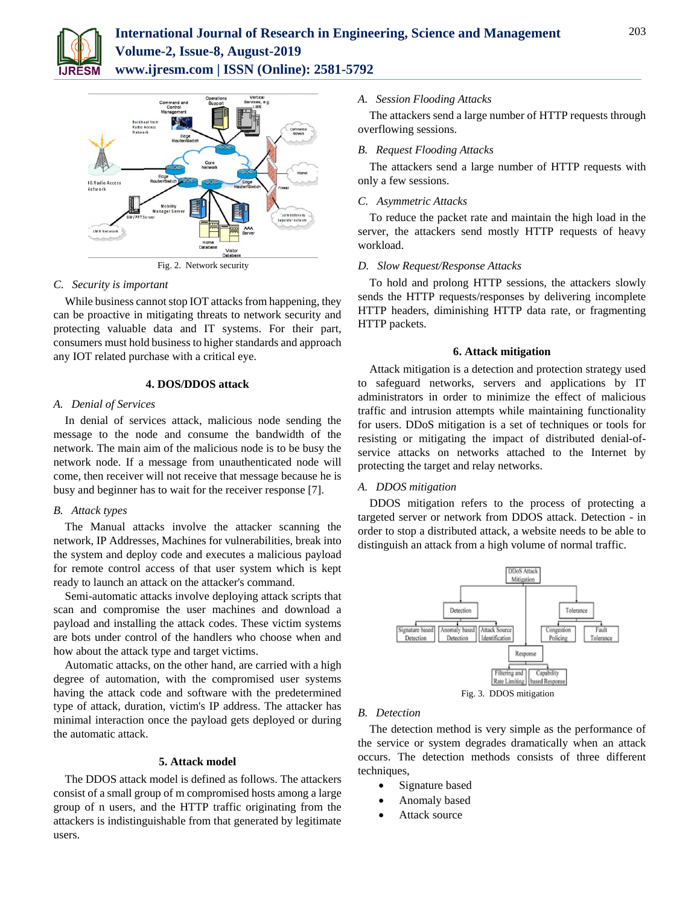



Fig. 2. Network security

## *C. Security is important*

While business cannot stop IOT attacks from happening, they can be proactive in mitigating threats to network security and protecting valuable data and IT systems. For their part, consumers must hold business to higher standards and approach any IOT related purchase with a critical eye.

## **4. DOS/DDOS attack**

#### *A. Denial of Services*

In denial of services attack, malicious node sending the message to the node and consume the bandwidth of the network. The main aim of the malicious node is to be busy the network node. If a message from unauthenticated node will come, then receiver will not receive that message because he is busy and beginner has to wait for the receiver response [7].

## *B. Attack types*

The Manual attacks involve the attacker scanning the network, IP Addresses, Machines for vulnerabilities, break into the system and deploy code and executes a malicious payload for remote control access of that user system which is kept ready to launch an attack on the attacker's command.

Semi-automatic attacks involve deploying attack scripts that scan and compromise the user machines and download a payload and installing the attack codes. These victim systems are bots under control of the handlers who choose when and how about the attack type and target victims.

Automatic attacks, on the other hand, are carried with a high degree of automation, with the compromised user systems having the attack code and software with the predetermined type of attack, duration, victim's IP address. The attacker has minimal interaction once the payload gets deployed or during the automatic attack.

# **5. Attack model**

The DDOS attack model is defined as follows. The attackers consist of a small group of m compromised hosts among a large group of n users, and the HTTP traffic originating from the attackers is indistinguishable from that generated by legitimate users.

## *A. Session Flooding Attacks*

The attackers send a large number of HTTP requests through overflowing sessions.

## *B. Request Flooding Attacks*

The attackers send a large number of HTTP requests with only a few sessions.

## *C. Asymmetric Attacks*

To reduce the packet rate and maintain the high load in the server, the attackers send mostly HTTP requests of heavy workload.

#### *D. Slow Request/Response Attacks*

To hold and prolong HTTP sessions, the attackers slowly sends the HTTP requests/responses by delivering incomplete HTTP headers, diminishing HTTP data rate, or fragmenting HTTP packets.

#### **6. Attack mitigation**

Attack mitigation is a detection and protection strategy used to safeguard networks, servers and applications by IT administrators in order to minimize the effect of malicious traffic and intrusion attempts while maintaining functionality for users. DDoS mitigation is a set of techniques or tools for resisting or mitigating the impact of distributed denial-ofservice attacks on networks attached to the Internet by protecting the target and relay networks.

## *A. DDOS mitigation*

DDOS mitigation refers to the process of protecting a targeted server or network from DDOS attack. Detection - in order to stop a distributed attack, a website needs to be able to distinguish an attack from a high volume of normal traffic.



#### *B. Detection*

The detection method is very simple as the performance of the service or system degrades dramatically when an attack occurs. The detection methods consists of three different techniques,

- Signature based
- Anomaly based
- Attack source